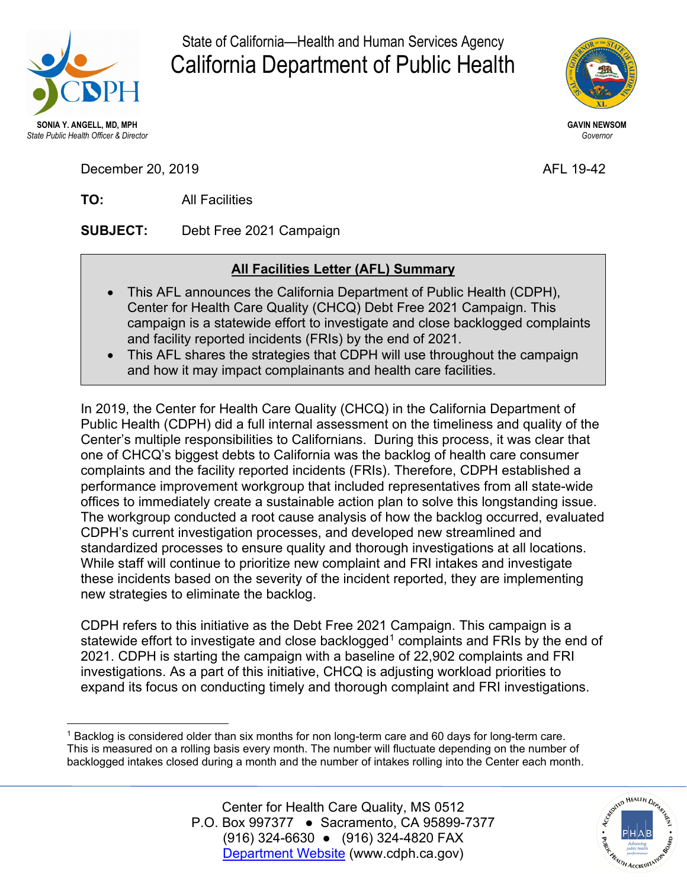

State of California—Health and Human Services Agency California Department of Public Health



December 20, 2019 **AFL 19-42** 

**TO:** All Facilities

**SUBJECT:** Debt Free 2021 Campaign

## **All Facilities Letter (AFL) Summary**

- This AFL announces the California Department of Public Health (CDPH), Center for Health Care Quality (CHCQ) Debt Free 2021 Campaign. This campaign is a statewide effort to investigate and close backlogged complaints and facility reported incidents (FRIs) by the end of 2021.
- This AFL shares the strategies that CDPH will use throughout the campaign and how it may impact complainants and health care facilities.

In 2019, the Center for Health Care Quality (CHCQ) in the California Department of Public Health (CDPH) did a full internal assessment on the timeliness and quality of the Center's multiple responsibilities to Californians. During this process, it was clear that one of CHCQ's biggest debts to California was the backlog of health care consumer complaints and the facility reported incidents (FRIs). Therefore, CDPH established a performance improvement workgroup that included representatives from all state-wide offices to immediately create a sustainable action plan to solve this longstanding issue. The workgroup conducted a root cause analysis of how the backlog occurred, evaluated CDPH's current investigation processes, and developed new streamlined and standardized processes to ensure quality and thorough investigations at all locations. While staff will continue to prioritize new complaint and FRI intakes and investigate these incidents based on the severity of the incident reported, they are implementing new strategies to eliminate the backlog.

CDPH refers to this initiative as the Debt Free 2021 Campaign. This campaign is a statewide effort to investigate and close backlogged<sup>[1](#page-0-0)</sup> complaints and FRIs by the end of 2021. CDPH is starting the campaign with a baseline of 22,902 complaints and FRI investigations. As a part of this initiative, CHCQ is adjusting workload priorities to expand its focus on conducting timely and thorough complaint and FRI investigations.

<span id="page-0-0"></span> $\overline{a}$ <sup>1</sup> Backlog is considered older than six months for non long-term care and 60 days for long-term care. This is measured on a rolling basis every month. The number will fluctuate depending on the number of backlogged intakes closed during a month and the number of intakes rolling into the Center each month.